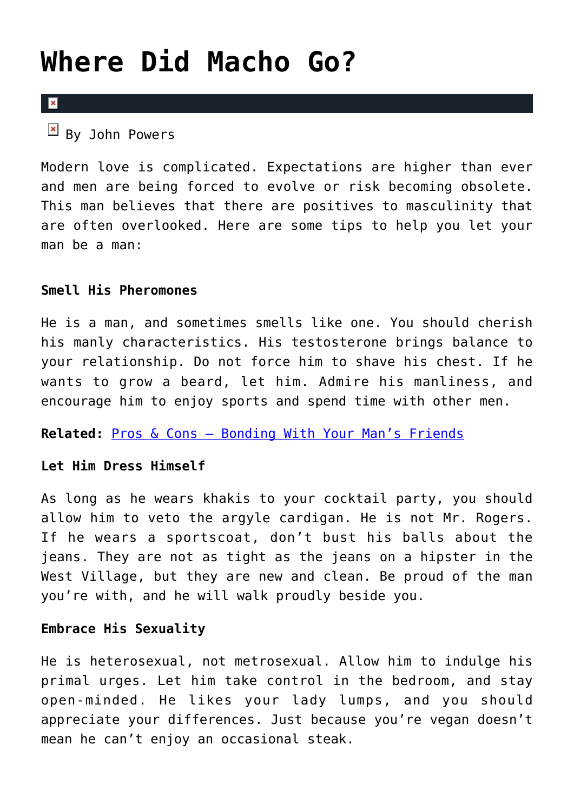# **[Where Did Macho Go?](https://cupidspulse.com/31054/where-did-macho-go-tips-to-let-man-be-man/)**

### $\mathbf{R}$

 $By$  John Powers

Modern love is complicated. Expectations are higher than ever and men are being forced to evolve or risk becoming obsolete. This man believes that there are positives to masculinity that are often overlooked. Here are some tips to help you let your man be a man:

# **Smell His Pheromones**

He is a man, and sometimes smells like one. You should cherish his manly characteristics. His testosterone brings balance to your relationship. Do not force him to shave his chest. If he wants to grow a beard, let him. Admire his manliness, and encourage him to enjoy sports and spend time with other men.

**Related:** [Pros & Cons – Bonding With Your Man's Friends](http://cupidspulse.com/pros-cons-bonding-mans-friends/)

# **Let Him Dress Himself**

As long as he wears khakis to your cocktail party, you should allow him to veto the argyle cardigan. He is not Mr. Rogers. If he wears a sportscoat, don't bust his balls about the jeans. They are not as tight as the jeans on a hipster in the West Village, but they are new and clean. Be proud of the man you're with, and he will walk proudly beside you.

# **Embrace His Sexuality**

He is heterosexual, not metrosexual. Allow him to indulge his primal urges. Let him take control in the bedroom, and stay open-minded. He likes your lady lumps, and you should appreciate your differences. Just because you're vegan doesn't mean he can't enjoy an occasional steak.